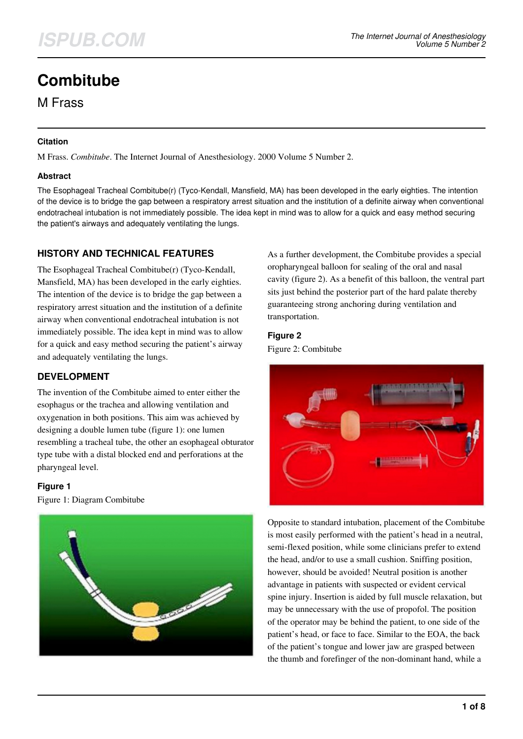# **Combitube**

M Frass

### **Citation**

M Frass. *Combitube*. The Internet Journal of Anesthesiology. 2000 Volume 5 Number 2.

### **Abstract**

The Esophageal Tracheal Combitube(r) (Tyco-Kendall, Mansfield, MA) has been developed in the early eighties. The intention of the device is to bridge the gap between a respiratory arrest situation and the institution of a definite airway when conventional endotracheal intubation is not immediately possible. The idea kept in mind was to allow for a quick and easy method securing the patient's airways and adequately ventilating the lungs.

### **HISTORY AND TECHNICAL FEATURES**

The Esophageal Tracheal Combitube(r) (Tyco-Kendall, Mansfield, MA) has been developed in the early eighties. The intention of the device is to bridge the gap between a respiratory arrest situation and the institution of a definite airway when conventional endotracheal intubation is not immediately possible. The idea kept in mind was to allow for a quick and easy method securing the patient's airway and adequately ventilating the lungs.

# **DEVELOPMENT**

The invention of the Combitube aimed to enter either the esophagus or the trachea and allowing ventilation and oxygenation in both positions. This aim was achieved by designing a double lumen tube (figure 1): one lumen resembling a tracheal tube, the other an esophageal obturator type tube with a distal blocked end and perforations at the pharyngeal level.

# **Figure 1**

Figure 1: Diagram Combitube



As a further development, the Combitube provides a special oropharyngeal balloon for sealing of the oral and nasal cavity (figure 2). As a benefit of this balloon, the ventral part sits just behind the posterior part of the hard palate thereby guaranteeing strong anchoring during ventilation and transportation.

### **Figure 2**

Figure 2: Combitube



Opposite to standard intubation, placement of the Combitube is most easily performed with the patient's head in a neutral, semi-flexed position, while some clinicians prefer to extend the head, and/or to use a small cushion. Sniffing position, however, should be avoided! Neutral position is another advantage in patients with suspected or evident cervical spine injury. Insertion is aided by full muscle relaxation, but may be unnecessary with the use of propofol. The position of the operator may be behind the patient, to one side of the patient's head, or face to face. Similar to the EOA, the back of the patient's tongue and lower jaw are grasped between the thumb and forefinger of the non-dominant hand, while a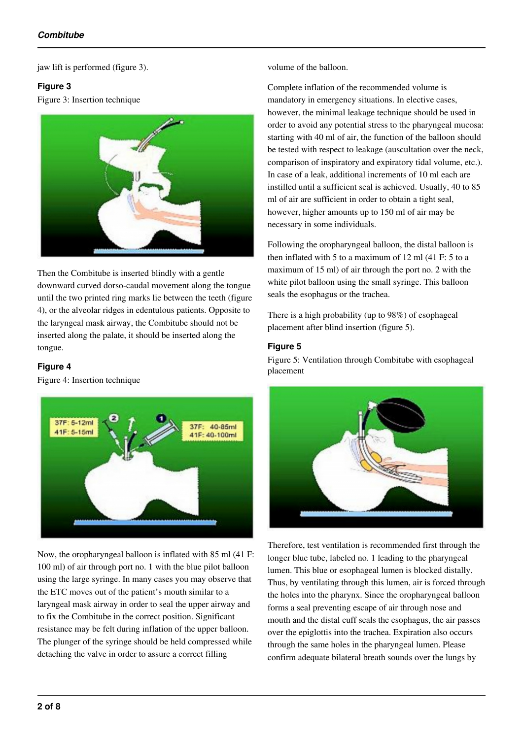jaw lift is performed (figure 3).

### **Figure 3**

Figure 3: Insertion technique



Then the Combitube is inserted blindly with a gentle downward curved dorso-caudal movement along the tongue until the two printed ring marks lie between the teeth (figure 4), or the alveolar ridges in edentulous patients. Opposite to the laryngeal mask airway, the Combitube should not be inserted along the palate, it should be inserted along the tongue.

### **Figure 4**

Figure 4: Insertion technique



Now, the oropharyngeal balloon is inflated with 85 ml (41 F: 100 ml) of air through port no. 1 with the blue pilot balloon using the large syringe. In many cases you may observe that the ETC moves out of the patient's mouth similar to a laryngeal mask airway in order to seal the upper airway and to fix the Combitube in the correct position. Significant resistance may be felt during inflation of the upper balloon. The plunger of the syringe should be held compressed while detaching the valve in order to assure a correct filling

volume of the balloon.

Complete inflation of the recommended volume is mandatory in emergency situations. In elective cases, however, the minimal leakage technique should be used in order to avoid any potential stress to the pharyngeal mucosa: starting with 40 ml of air, the function of the balloon should be tested with respect to leakage (auscultation over the neck, comparison of inspiratory and expiratory tidal volume, etc.). In case of a leak, additional increments of 10 ml each are instilled until a sufficient seal is achieved. Usually, 40 to 85 ml of air are sufficient in order to obtain a tight seal, however, higher amounts up to 150 ml of air may be necessary in some individuals.

Following the oropharyngeal balloon, the distal balloon is then inflated with 5 to a maximum of 12 ml (41 F: 5 to a maximum of 15 ml) of air through the port no. 2 with the white pilot balloon using the small syringe. This balloon seals the esophagus or the trachea.

There is a high probability (up to 98%) of esophageal placement after blind insertion (figure 5).

### **Figure 5**

Figure 5: Ventilation through Combitube with esophageal placement



Therefore, test ventilation is recommended first through the longer blue tube, labeled no. 1 leading to the pharyngeal lumen. This blue or esophageal lumen is blocked distally. Thus, by ventilating through this lumen, air is forced through the holes into the pharynx. Since the oropharyngeal balloon forms a seal preventing escape of air through nose and mouth and the distal cuff seals the esophagus, the air passes over the epiglottis into the trachea. Expiration also occurs through the same holes in the pharyngeal lumen. Please confirm adequate bilateral breath sounds over the lungs by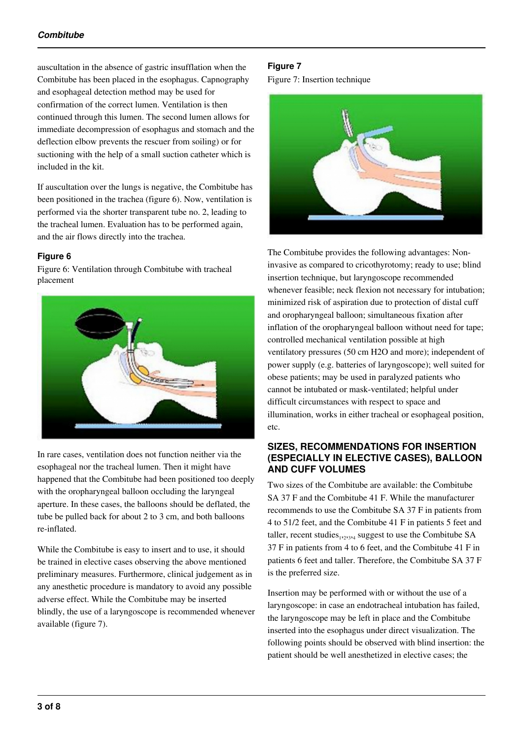auscultation in the absence of gastric insufflation when the Combitube has been placed in the esophagus. Capnography and esophageal detection method may be used for confirmation of the correct lumen. Ventilation is then continued through this lumen. The second lumen allows for immediate decompression of esophagus and stomach and the deflection elbow prevents the rescuer from soiling) or for suctioning with the help of a small suction catheter which is included in the kit.

If auscultation over the lungs is negative, the Combitube has been positioned in the trachea (figure 6). Now, ventilation is performed via the shorter transparent tube no. 2, leading to the tracheal lumen. Evaluation has to be performed again, and the air flows directly into the trachea.

### **Figure 6**

Figure 6: Ventilation through Combitube with tracheal placement



In rare cases, ventilation does not function neither via the esophageal nor the tracheal lumen. Then it might have happened that the Combitube had been positioned too deeply with the oropharyngeal balloon occluding the laryngeal aperture. In these cases, the balloons should be deflated, the tube be pulled back for about 2 to 3 cm, and both balloons re-inflated.

While the Combitube is easy to insert and to use, it should be trained in elective cases observing the above mentioned preliminary measures. Furthermore, clinical judgement as in any anesthetic procedure is mandatory to avoid any possible adverse effect. While the Combitube may be inserted blindly, the use of a laryngoscope is recommended whenever available (figure 7).

### **Figure 7**

Figure 7: Insertion technique



The Combitube provides the following advantages: Noninvasive as compared to cricothyrotomy; ready to use; blind insertion technique, but laryngoscope recommended whenever feasible; neck flexion not necessary for intubation; minimized risk of aspiration due to protection of distal cuff and oropharyngeal balloon; simultaneous fixation after inflation of the oropharyngeal balloon without need for tape; controlled mechanical ventilation possible at high ventilatory pressures (50 cm H2O and more); independent of power supply (e.g. batteries of laryngoscope); well suited for obese patients; may be used in paralyzed patients who cannot be intubated or mask-ventilated; helpful under difficult circumstances with respect to space and illumination, works in either tracheal or esophageal position, etc.

### **SIZES, RECOMMENDATIONS FOR INSERTION (ESPECIALLY IN ELECTIVE CASES), BALLOON AND CUFF VOLUMES**

Two sizes of the Combitube are available: the Combitube SA 37 F and the Combitube 41 F. While the manufacturer recommends to use the Combitube SA 37 F in patients from 4 to 51/2 feet, and the Combitube 41 F in patients 5 feet and taller, recent studies $_{1,2,3,4}$  suggest to use the Combitube SA 37 F in patients from 4 to 6 feet, and the Combitube 41 F in patients 6 feet and taller. Therefore, the Combitube SA 37 F is the preferred size.

Insertion may be performed with or without the use of a laryngoscope: in case an endotracheal intubation has failed, the laryngoscope may be left in place and the Combitube inserted into the esophagus under direct visualization. The following points should be observed with blind insertion: the patient should be well anesthetized in elective cases; the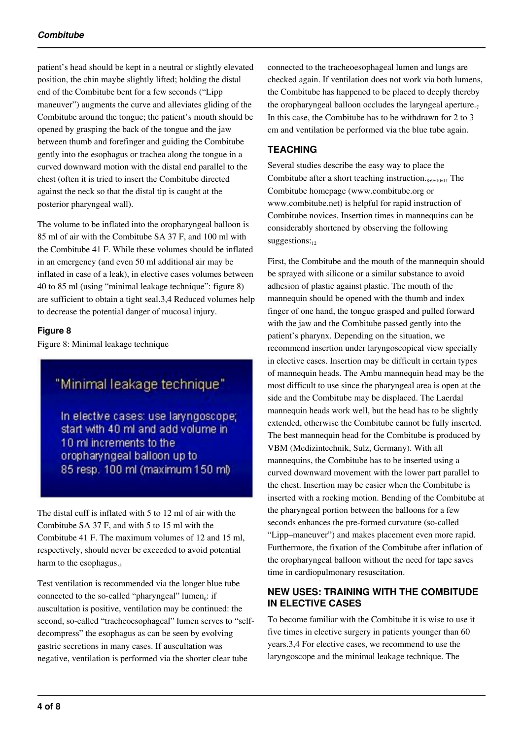patient's head should be kept in a neutral or slightly elevated position, the chin maybe slightly lifted; holding the distal end of the Combitube bent for a few seconds ("Lipp maneuver") augments the curve and alleviates gliding of the Combitube around the tongue; the patient's mouth should be opened by grasping the back of the tongue and the jaw between thumb and forefinger and guiding the Combitube gently into the esophagus or trachea along the tongue in a curved downward motion with the distal end parallel to the chest (often it is tried to insert the Combitube directed against the neck so that the distal tip is caught at the posterior pharyngeal wall).

The volume to be inflated into the oropharyngeal balloon is 85 ml of air with the Combitube SA 37 F, and 100 ml with the Combitube 41 F. While these volumes should be inflated in an emergency (and even 50 ml additional air may be inflated in case of a leak), in elective cases volumes between 40 to 85 ml (using "minimal leakage technique": figure 8) are sufficient to obtain a tight seal.3,4 Reduced volumes help to decrease the potential danger of mucosal injury.

### **Figure 8**

Figure 8: Minimal leakage technique

# "Minimal leakage technique"

In elective cases: use laryngoscope; start with 40 ml and add volume in 10 ml increments to the oropharyngeal balloon up to 85 resp. 100 ml (maximum 150 ml)

The distal cuff is inflated with 5 to 12 ml of air with the Combitube SA 37 F, and with 5 to 15 ml with the Combitube 41 F. The maximum volumes of 12 and 15 ml, respectively, should never be exceeded to avoid potential harm to the esophagus.5

Test ventilation is recommended via the longer blue tube connected to the so-called "pharyngeal" lumen<sub>6</sub>: if auscultation is positive, ventilation may be continued: the second, so-called "tracheoesophageal" lumen serves to "selfdecompress" the esophagus as can be seen by evolving gastric secretions in many cases. If auscultation was negative, ventilation is performed via the shorter clear tube

connected to the tracheoesophageal lumen and lungs are checked again. If ventilation does not work via both lumens, the Combitube has happened to be placed to deeply thereby the oropharyngeal balloon occludes the laryngeal aperture. $<sub>7</sub>$ </sub> In this case, the Combitube has to be withdrawn for 2 to 3 cm and ventilation be performed via the blue tube again.

### **TEACHING**

Several studies describe the easy way to place the Combitube after a short teaching instruction. $_{8,9,10,11}$  The Combitube homepage (www.combitube.org or www.combitube.net) is helpful for rapid instruction of Combitube novices. Insertion times in mannequins can be considerably shortened by observing the following  $suggestions:_{12}$ 

First, the Combitube and the mouth of the mannequin should be sprayed with silicone or a similar substance to avoid adhesion of plastic against plastic. The mouth of the mannequin should be opened with the thumb and index finger of one hand, the tongue grasped and pulled forward with the jaw and the Combitube passed gently into the patient's pharynx. Depending on the situation, we recommend insertion under laryngoscopical view specially in elective cases. Insertion may be difficult in certain types of mannequin heads. The Ambu mannequin head may be the most difficult to use since the pharyngeal area is open at the side and the Combitube may be displaced. The Laerdal mannequin heads work well, but the head has to be slightly extended, otherwise the Combitube cannot be fully inserted. The best mannequin head for the Combitube is produced by VBM (Medizintechnik, Sulz, Germany). With all mannequins, the Combitube has to be inserted using a curved downward movement with the lower part parallel to the chest. Insertion may be easier when the Combitube is inserted with a rocking motion. Bending of the Combitube at the pharyngeal portion between the balloons for a few seconds enhances the pre-formed curvature (so-called "Lipp–maneuver") and makes placement even more rapid. Furthermore, the fixation of the Combitube after inflation of the oropharyngeal balloon without the need for tape saves time in cardiopulmonary resuscitation.

### **NEW USES: TRAINING WITH THE COMBITUDE IN ELECTIVE CASES**

To become familiar with the Combitube it is wise to use it five times in elective surgery in patients younger than 60 years.3,4 For elective cases, we recommend to use the laryngoscope and the minimal leakage technique. The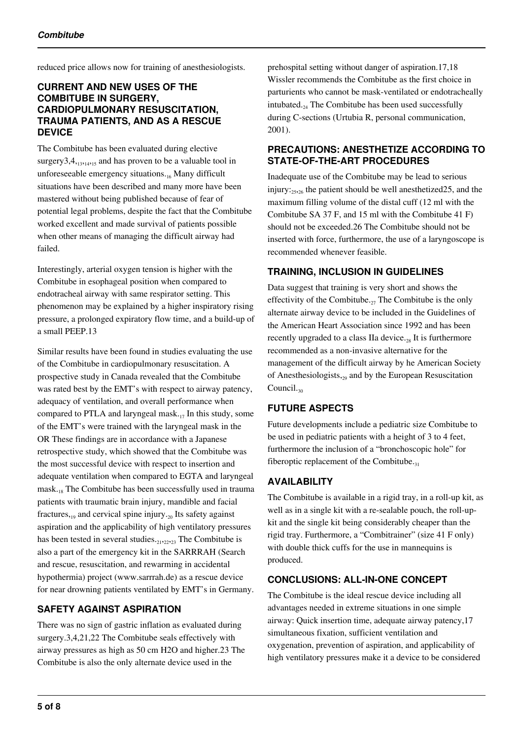reduced price allows now for training of anesthesiologists.

### **CURRENT AND NEW USES OF THE COMBITUBE IN SURGERY, CARDIOPULMONARY RESUSCITATION, TRAUMA PATIENTS, AND AS A RESCUE DEVICE**

The Combitube has been evaluated during elective surgery3,4,<sub>13,14,15</sub> and has proven to be a valuable tool in unforeseeable emergency situations. $16$  Many difficult situations have been described and many more have been mastered without being published because of fear of potential legal problems, despite the fact that the Combitube worked excellent and made survival of patients possible when other means of managing the difficult airway had failed.

Interestingly, arterial oxygen tension is higher with the Combitube in esophageal position when compared to endotracheal airway with same respirator setting. This phenomenon may be explained by a higher inspiratory rising pressure, a prolonged expiratory flow time, and a build-up of a small PEEP.13

Similar results have been found in studies evaluating the use of the Combitube in cardiopulmonary resuscitation. A prospective study in Canada revealed that the Combitube was rated best by the EMT's with respect to airway patency, adequacy of ventilation, and overall performance when compared to PTLA and laryngeal mask. $_{17}$  In this study, some of the EMT's were trained with the laryngeal mask in the OR These findings are in accordance with a Japanese retrospective study, which showed that the Combitube was the most successful device with respect to insertion and adequate ventilation when compared to EGTA and laryngeal mask.18 The Combitube has been successfully used in trauma patients with traumatic brain injury, mandible and facial fractures, $190$  and cervical spine injury. $20$  Its safety against aspiration and the applicability of high ventilatory pressures has been tested in several studies.  $_{21},_{22},_{23}$  The Combitube is also a part of the emergency kit in the SARRRAH (Search and rescue, resuscitation, and rewarming in accidental hypothermia) project (www.sarrrah.de) as a rescue device for near drowning patients ventilated by EMT's in Germany.

### **SAFETY AGAINST ASPIRATION**

There was no sign of gastric inflation as evaluated during surgery.3,4,21,22 The Combitube seals effectively with airway pressures as high as 50 cm H2O and higher.23 The Combitube is also the only alternate device used in the

prehospital setting without danger of aspiration.17,18 Wissler recommends the Combitube as the first choice in parturients who cannot be mask-ventilated or endotracheally intubated. $_{24}$  The Combitube has been used successfully during C-sections (Urtubia R, personal communication, 2001).

### **PRECAUTIONS: ANESTHETIZE ACCORDING TO STATE-OF-THE-ART PROCEDURES**

Inadequate use of the Combitube may be lead to serious injury: $\frac{25}{25,26}$  the patient should be well anesthetized 25, and the maximum filling volume of the distal cuff (12 ml with the Combitube SA 37 F, and 15 ml with the Combitube 41 F) should not be exceeded.26 The Combitube should not be inserted with force, furthermore, the use of a laryngoscope is recommended whenever feasible.

### **TRAINING, INCLUSION IN GUIDELINES**

Data suggest that training is very short and shows the effectivity of the Combitube.<sub>27</sub> The Combitube is the only alternate airway device to be included in the Guidelines of the American Heart Association since 1992 and has been recently upgraded to a class IIa device.<sub>28</sub> It is furthermore recommended as a non-invasive alternative for the management of the difficult airway by he American Society of Anesthesiologists,<sub>29</sub> and by the European Resuscitation Council.<sub>30</sub>

### **FUTURE ASPECTS**

Future developments include a pediatric size Combitube to be used in pediatric patients with a height of 3 to 4 feet, furthermore the inclusion of a "bronchoscopic hole" for fiberoptic replacement of the Combitube. $_{31}$ 

### **AVAILABILITY**

The Combitube is available in a rigid tray, in a roll-up kit, as well as in a single kit with a re-sealable pouch, the roll-upkit and the single kit being considerably cheaper than the rigid tray. Furthermore, a "Combitrainer" (size 41 F only) with double thick cuffs for the use in mannequins is produced.

### **CONCLUSIONS: ALL-IN-ONE CONCEPT**

The Combitube is the ideal rescue device including all advantages needed in extreme situations in one simple airway: Quick insertion time, adequate airway patency,17 simultaneous fixation, sufficient ventilation and oxygenation, prevention of aspiration, and applicability of high ventilatory pressures make it a device to be considered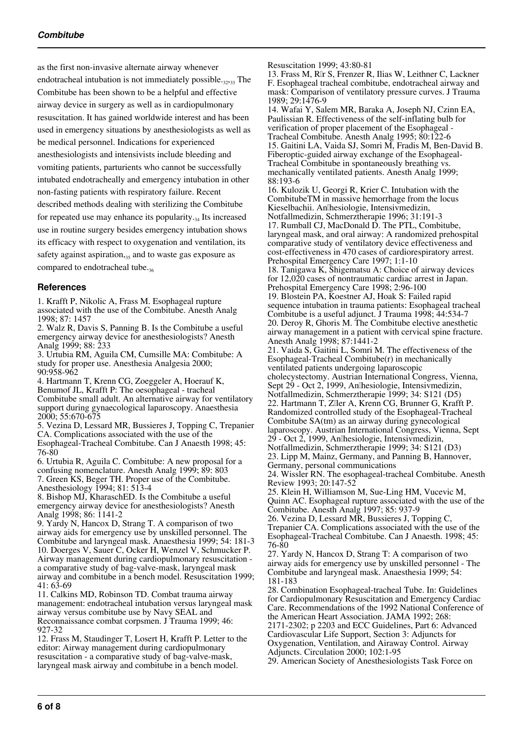as the first non-invasive alternate airway whenever endotracheal intubation is not immediately possible. $_{32,33}$  The Combitube has been shown to be a helpful and effective airway device in surgery as well as in cardiopulmonary resuscitation. It has gained worldwide interest and has been used in emergency situations by anesthesiologists as well as be medical personnel. Indications for experienced anesthesiologists and intensivists include bleeding and vomiting patients, parturients who cannot be successfully intubated endotracheally and emergency intubation in other non-fasting patients with respiratory failure. Recent described methods dealing with sterilizing the Combitube for repeated use may enhance its popularity. $_{34}$  Its increased use in routine surgery besides emergency intubation shows its efficacy with respect to oxygenation and ventilation, its safety against aspiration, $35$  and to waste gas exposure as compared to endotracheal tube.<sub>36</sub>

### **References**

1. Krafft P, Nikolic A, Frass M. Esophageal rupture associated with the use of the Combitube. Anesth Analg 1998; 87: 1457

2. Walz R, Davis S, Panning B. Is the Combitube a useful emergency airway device for anesthesiologists? Anesth Analg 1999; 88: 233

3. Urtubia RM, Aguila CM, Cumsille MA: Combitube: A study for proper use. Anesthesia Analgesia 2000; 90:958-962

4. Hartmann T, Krenn CG, Zoeggeler A, Hoerauf K, Benumof JL, Krafft P: The oesophageal - tracheal Combitube small adult. An alternative airway for ventilatory support during gynaecological laparoscopy. Anaesthesia 2000; 55:670-675

5. Vezina D, Lessard MR, Bussieres J, Topping C, Trepanier CA. Complications associated with the use of the Esophageal-Tracheal Combitube. Can J Anaesth 1998; 45: 76-80

6. Urtubia R, Aguila C. Combitube: A new proposal for a confusing nomenclature. Anesth Analg 1999; 89: 803 7. Green KS, Beger TH. Proper use of the Combitube. Anesthesiology 1994; 81: 513-4

8. Bishop MJ, KharaschED. Is the Combitube a useful emergency airway device for anesthesiologists? Anesth Analg 1998; 86: 1141-2

9. Yardy N, Hancox D, Strang T. A comparison of two airway aids for emergency use by unskilled personnel. The Combitube and laryngeal mask. Anaesthesia 1999; 54: 181-3 10. Doerges V, Sauer C, Ocker H, Wenzel V, Schmucker P. Airway management during cardiopulmonary resuscitation a comparative study of bag-valve-mask, laryngeal mask airway and combitube in a bench model. Resuscitation 1999; 41: 63-69

11. Calkins MD, Robinson TD. Combat trauma airway management: endotracheal intubation versus laryngeal mask airway versus combitube use by Navy SEAL and Reconnaissance combat corpsmen. J Trauma 1999; 46: 927-32

12. Frass M, Staudinger T, Losert H, Krafft P. Letter to the editor: Airway management during cardiopulmonary resuscitation - a comparative study of bag-valve-mask, laryngeal mask airway and combitube in a bench model.

Resuscitation 1999; 43:80-81

13. Frass M, R�r S, Frenzer R, Ilias W, Leithner C, Lackner F. Esophageal tracheal combitube, endotracheal airway and mask: Comparison of ventilatory pressure curves. J Trauma 1989; 29:1476-9

14. Wafai Y, Salem MR, Baraka A, Joseph NJ, Czinn EA, Paulissian R. Effectiveness of the self-inflating bulb for verification of proper placement of the Esophageal - Tracheal Combitube. Anesth Analg 1995; 80:122-6 15. Gaitini LA, Vaida SJ, Somri M, Fradis M, Ben-David B. Fiberoptic-guided airway exchange of the Esophageal-Tracheal Combitube in spontaneously breathing vs. mechanically ventilated patients. Anesth Analg 1999; 88:193-6

16. Kulozik U, Georgi R, Krier C. Intubation with the CombitubeTM in massive hemorrhage from the locus Kieselbachii. An㲴hesiologie, Intensivmedizin, Notfallmedizin, Schmerztherapie 1996; 31:191-3 17. Rumball CJ, MacDonald D. The PTL, Combitube, laryngeal mask, and oral airway: A randomized prehospital comparative study of ventilatory device effectiveness and cost-effectiveness in 470 cases of cardiorespiratory arrest. Prehospital Emergency Care 1997; 1:1-10

18. Tanigawa K, Shigematsu A: Choice of airway devices for 12,020 cases of nontraumatic cardiac arrest in Japan. Prehospital Emergency Care 1998; 2:96-100 19. Blostein PA, Koestner AJ, Hoak S: Failed rapid

sequence intubation in trauma patients: Esophageal tracheal Combitube is a useful adjunct. J Trauma 1998; 44:534-7 20. Deroy R, Ghoris M. The Combitube elective anesthetic airway management in a patient with cervical spine fracture. Anesth Analg 1998; 87:1441-2

21. Vaida S, Gaitini L, Somri M. The effectiveness of the Esophageal-Tracheal Combitube(r) in mechanically ventilated patients undergoing laparoscopic cholecystectomy. Austrian International Congress, Vienna, Sept 29 - Oct 2, 1999, Anlhesiologie, Intensivmedizin, Notfallmedizin, Schmerztherapie 1999; 34: S121 (D5) 22. Hartmann T, Zller A, Krenn CG, Brunner G, Krafft P. Randomized controlled study of the Esophageal-Tracheal Combitube SA(tm) as an airway during gynecological

laparoscopy. Austrian International Congress, Vienna, Sept 29 - Oct 2, 1999, An㲴hesiologie, Intensivmedizin,

Notfallmedizin, Schmerztherapie 1999; 34: S121 (D3) 23. Lipp M, Mainz, Germany, and Panning B, Hannover, Germany, personal communications

24. Wissler RN. The esophageal-tracheal Combitube. Anesth Review 1993; 20:147-52

25. Klein H, Williamson M, Sue-Ling HM, Vucevic M, Quinn AC. Esophageal rupture associated with the use of the Combitube. Anesth Analg 1997; 85: 937-9

26. Vezina D, Lessard MR, Bussieres J, Topping C, Trepanier CA. Complications associated with the use of the Esophageal-Tracheal Combitube. Can J Anaesth. 1998; 45: 76-80

27. Yardy N, Hancox D, Strang T: A comparison of two airway aids for emergency use by unskilled personnel - The Combitube and laryngeal mask. Anaesthesia 1999; 54: 181-183

28. Combination Esophageal-tracheal Tube. In: Guidelines for Cardiopulmonary Resuscitation and Emergency Cardiac Care. Recommendations of the 1992 National Conference of the American Heart Association. JAMA 1992; 268:

2171-2302; p 2203 and ECC Guidelines, Part 6: Advanced Cardiovascular Life Support, Section 3: Adjuncts for Oxygenation, Ventilation, and Airaway Control. Airway Adjuncts. Circulation 2000; 102:1-95

29. American Society of Anesthesiologists Task Force on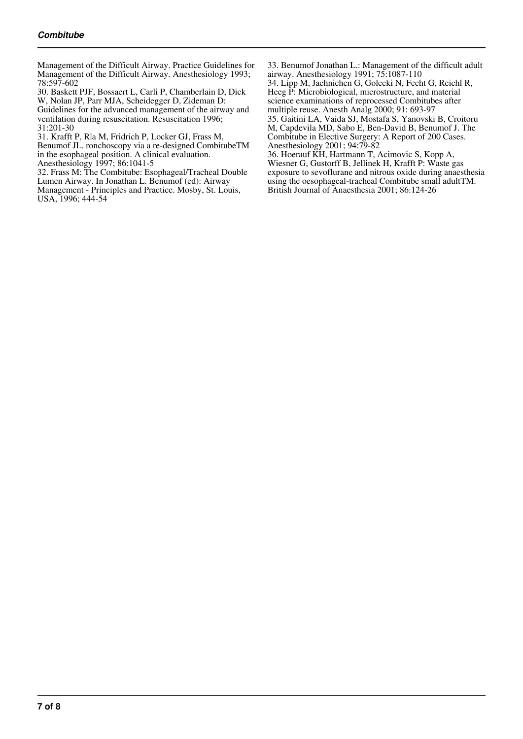Management of the Difficult Airway. Practice Guidelines for Management of the Difficult Airway. Anesthesiology 1993; 78:597-602

30. Baskett PJF, Bossaert L, Carli P, Chamberlain D, Dick W, Nolan JP, Parr MJA, Scheidegger D, Zideman D:

Guidelines for the advanced management of the airway and ventilation during resuscitation. Resuscitation 1996; 31:201-30

31. Krafft P, Rla M, Fridrich P, Locker GJ, Frass M,

Benumof JL. ronchoscopy via a re-designed CombitubeTM in the esophageal position. A clinical evaluation.

Anesthesiology 1997; 86:1041-5

32. Frass M: The Combitube: Esophageal/Tracheal Double Lumen Airway. In Jonathan L. Benumof (ed): Airway Management - Principles and Practice. Mosby, St. Louis, USA, 1996; 444-54

33. Benumof Jonathan L.: Management of the difficult adult airway. Anesthesiology 1991; 75:1087-110

34. Lipp M, Jaehnichen G, Golecki N, Fecht G, Reichl R, Heeg P: Microbiological, microstructure, and material science examinations of reprocessed Combitubes after multiple reuse. Anesth Analg 2000; 91: 693-97

35. Gaitini LA, Vaida SJ, Mostafa S, Yanovski B, Croitoru M, Capdevila MD, Sabo E, Ben-David B, Benumof J. The Combitube in Elective Surgery: A Report of 200 Cases. Anesthesiology 2001; 94:79-82

36. Hoerauf KH, Hartmann T, Acimovic S, Kopp A, Wiesner G, Gustorff B, Jellinek H, Krafft P: Waste gas exposure to sevoflurane and nitrous oxide during anaesthesia using the oesophageal-tracheal Combitube small adultTM. British Journal of Anaesthesia 2001; 86:124-26